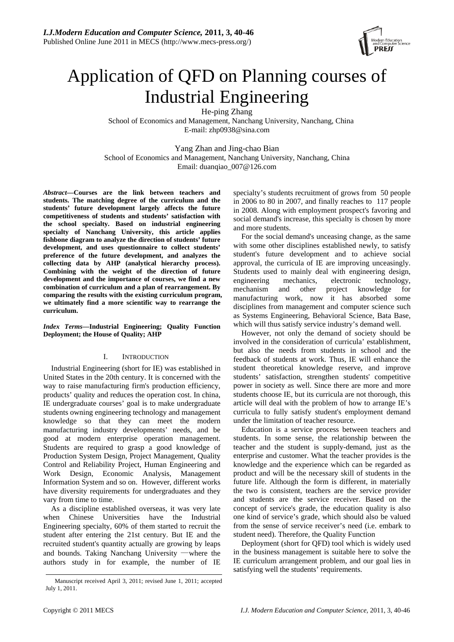

# Application of QFD on Planning courses of Industrial Engineering

He-ping Zhang School of Economics and Management, Nanchang University, Nanchang, China E-mail: zhp0938@sina.com

Yang Zhan and Jing-chao Bian School of Economics and Management, Nanchang University, Nanchang, China Email: duanqiao\_007@126.com

*Abstract***—Courses are the link between teachers and students. The matching degree of the curriculum and the students' future development largely affects the future competitiveness of students and students' satisfaction with the school specialty. Based on industrial engineering specialty of Nanchang University, this article applies fishbone diagram to analyze the direction of students' future development, and uses questionnaire to collect students' preference of the future development, and analyzes the collecting data by AHP (analytical hierarchy process). Combining with the weight of the direction of future development and the importance of courses, we find a new combination of curriculum and a plan of rearrangement. By comparing the results with the existing curriculum program, we ultimately find a more scientific way to rearrange the curriculum.** 

*Index Terms***—Industrial Engineering; Quality Function Deployment; the House of Quality; AHP** 

# I. INTRODUCTION

Industrial Engineering (short for IE) was established in United States in the 20th century. It is concerned with the way to raise manufacturing firm's production efficiency, products' quality and reduces the operation cost. In china, IE undergraduate courses' goal is to make undergraduate students owning engineering technology and management knowledge so that they can meet the modern manufacturing industry developments' needs, and be good at modern enterprise operation management. Students are required to grasp a good knowledge of Production System Design, Project Management, Quality Control and Reliability Project, Human Engineering and Work Design, Economic Analysis, Management Information System and so on. However, different works have diversity requirements for undergraduates and they vary from time to time.

As a discipline established overseas, it was very late when Chinese Universities have the Industrial Engineering specialty, 60% of them started to recruit the student after entering the 21st century. But IE and the recruited student's quantity actually are growing by leaps and bounds. Taking Nanchang University —where the authors study in for example, the number of IE specialty's students recruitment of grows from 50 people in 2006 to 80 in 2007, and finally reaches to 117 people in 2008. Along with employment prospect's favoring and social demand's increase, this specialty is chosen by more and more students.

For the social demand's unceasing change, as the same with some other disciplines established newly, to satisfy student's future development and to achieve social approval, the curricula of IE are improving unceasingly. Students used to mainly deal with engineering design, engineering mechanics, electronic technology, mechanism and other project knowledge for manufacturing work, now it has absorbed some disciplines from management and computer science such as Systems Engineering, Behavioral Science, Bata Base, which will thus satisfy service industry's demand well.

However, not only the demand of society should be involved in the consideration of curricula' establishment, but also the needs from students in school and the feedback of students at work. Thus, IE will enhance the student theoretical knowledge reserve, and improve students' satisfaction, strengthen students' competitive power in society as well. Since there are more and more students choose IE, but its curricula are not thorough, this article will deal with the problem of how to arrange IE's curricula to fully satisfy student's employment demand under the limitation of teacher resource.

Education is a service process between teachers and students. In some sense, the relationship between the teacher and the student is supply-demand, just as the enterprise and customer. What the teacher provides is the knowledge and the experience which can be regarded as product and will be the necessary skill of students in the future life. Although the form is different, in materially the two is consistent, teachers are the service provider and students are the service receiver. Based on the concept of service's grade, the education quality is also one kind of service's grade, which should also be valued from the sense of service receiver's need (i.e. embark to student need). Therefore, the Quality Function

Deployment (short for QFD) tool which is widely used in the business management is suitable here to solve the IE curriculum arrangement problem, and our goal lies in satisfying well the students' requirements.

Manuscript received April 3, 2011; revised June 1, 2011; accepted July 1, 2011.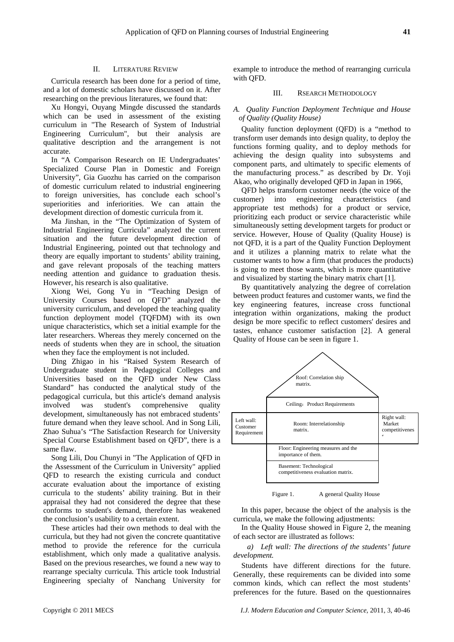#### II. LITERATURE REVIEW

Curricula research has been done for a period of time, and a lot of domestic scholars have discussed on it. After researching on the previous literatures, we found that:

Xu Hongyi, Ouyang Mingde discussed the standards which can be used in assessment of the existing curriculum in "The Research of System of Industrial Engineering Curriculum", but their analysis are qualitative description and the arrangement is not accurate.

In "A Comparison Research on IE Undergraduates' Specialized Course Plan in Domestic and Foreign University", Gia Guozhu has carried on the comparison of domestic curriculum related to industrial engineering to foreign universities, has conclude each school's superiorities and inferiorities. We can attain the development direction of domestic curricula from it.

Ma Jinshan, in the "The Optimization of System of Industrial Engineering Curricula" analyzed the current situation and the future development direction of Industrial Engineering, pointed out that technology and theory are equally important to students' ability training, and gave relevant proposals of the teaching matters needing attention and guidance to graduation thesis. However, his research is also qualitative.

Xiong Wei, Gong Yu in "Teaching Design of University Courses based on QFD" analyzed the university curriculum, and developed the teaching quality function deployment model (TQFDM) with its own unique characteristics, which set a initial example for the later researchers. Whereas they merely concerned on the needs of students when they are in school, the situation when they face the employment is not included.

Ding Zhigao in his "Raised System Research of Undergraduate student in Pedagogical Colleges and Universities based on the QFD under New Class Standard" has conducted the analytical study of the pedagogical curricula, but this article's demand analysis involved was student's comprehensive quality development, simultaneously has not embraced students' future demand when they leave school. And in Song Lili, Zhao Suhua's "The Satisfaction Research for University Special Course Establishment based on QFD", there is a same flaw.

Song Lili, Dou Chunyi in "The Application of QFD in the Assessment of the Curriculum in University" applied QFD to research the existing curricula and conduct accurate evaluation about the importance of existing curricula to the students' ability training. But in their appraisal they had not considered the degree that these conforms to student's demand, therefore has weakened the conclusion's usability to a certain extent.

These articles had their own methods to deal with the curricula, but they had not given the concrete quantitative method to provide the reference for the curricula establishment, which only made a qualitative analysis. Based on the previous researches, we found a new way to rearrange specialty curricula. This article took Industrial Engineering specialty of Nanchang University for example to introduce the method of rearranging curricula with QFD.

### III. RSEARCH METHODOLOGY

# *A. Quality Function Deployment Technique and House of Quality (Quality House)*

Quality function deployment (QFD) is a "method to transform user demands into design quality, to deploy the functions forming quality, and to deploy methods for achieving the design quality into subsystems and component parts, and ultimately to specific elements of the manufacturing process." as described by Dr. Yoji Akao, who originally developed QFD in Japan in 1966,

QFD helps transform customer needs (the voice of the customer) into engineering characteristics (and appropriate test methods) for a product or service, prioritizing each product or service characteristic while simultaneously setting development targets for product or service. However, House of Quality (Quality House) is not QFD, it is a part of the Quality Function Deployment and it utilizes a planning matrix to relate what the customer wants to how a firm (that produces the products) is going to meet those wants, which is more quantitative and visualized by starting the binary matrix chart [1].

By quantitatively analyzing the degree of correlation between product features and customer wants, we find the key engineering features, increase cross functional integration within organizations, making the product design be more specific to reflect customers' desires and tastes, enhance customer satisfaction [2]. A general Quality of House can be seen in figure 1.



Figure 1. A general Quality House

In this paper, because the object of the analysis is the curricula, we make the following adjustments:

In the Quality House showed in Figure 2, the meaning of each sector are illustrated as follows:

*a) Left wall: The directions of the students' future development.* 

Students have different directions for the future. Generally, these requirements can be divided into some common kinds, which can reflect the most students' preferences for the future. Based on the questionnaires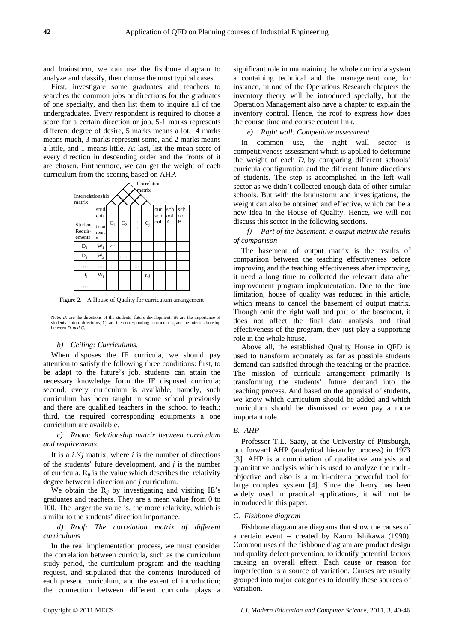and brainstorm, we can use the fishbone diagram to analyze and classify, then choose the most typical cases.

First, investigate some graduates and teachers to searches the common jobs or directions for the graduates of one specialty, and then list them to inquire all of the undergraduates. Every respondent is required to choose a score for a certain direction or job, 5-1 marks represents different degree of desire, 5 marks means a lot, 4 marks means much, 3 marks represent some, and 2 marks means a little, and 1 means little. At last, list the mean score of every direction in descending order and the fronts of it are chosen. Furthermore, we can get the weight of each curriculum from the scoring based on AHP.



Figure 2. A House of Quality for curriculum arrangement

Note:  $D_i$  are the directions of the students' future development.  $W_i$  are the importance of students' future directions,  $C_j$  are the corresponding curricula,  $a_{ij}$  are the interrelationship between  $D_i$  and  $C_i$ 

#### *b) Ceiling: Curriculums.*

When disposes the IE curricula, we should pay attention to satisfy the following three conditions: first, to be adapt to the future's job, students can attain the necessary knowledge form the IE disposed curricula; second, every curriculum is available, namely, such curriculum has been taught in some school previously and there are qualified teachers in the school to teach.; third, the required corresponding equipments a one curriculum are available.

*c) Room: Relationship matrix between curriculum and requirements.* 

It is a  $i \times j$  matrix, where  $i$  is the number of directions of the students' future development, and *j* is the number of curricula.  $R_{ij}$  is the value which describes the relativity degree between i direction and *j* curriculum.

We obtain the  $R_{ij}$  by investigating and visiting IE's graduates and teachers. They are a mean value from 0 to 100. The larger the value is, the more relativity, which is similar to the students' direction importance.

# *d) Roof: The correlation matrix of different curriculums*

In the real implementation process, we must consider the correlation between curricula, such as the curriculum study period, the curriculum program and the teaching request, and stipulated that the contents introduced of each present curriculum, and the extent of introduction; the connection between different curricula plays a significant role in maintaining the whole curricula system a containing technical and the management one, for instance, in one of the Operations Research chapters the inventory theory will be introduced specially, but the Operation Management also have a chapter to explain the inventory control. Hence, the roof to express how does the course time and course content link.

# *e) Right wall: Competitive assessment*

In common use, the right wall sector is competitiveness assessment which is applied to determine the weight of each  $D_i$  by comparing different schools' curricula configuration and the different future directions of students. The step is accomplished in the left wall sector as we didn't collected enough data of other similar schools. But with the brainstorm and investigations, the weight can also be obtained and effective, which can be a new idea in the House of Quality. Hence, we will not discuss this sector in the following sections.

*f) Part of the basement: a output matrix the results of comparison* 

The basement of output matrix is the results of comparison between the teaching effectiveness before improving and the teaching effectiveness after improving, it need a long time to collected the relevant data after improvement program implementation. Due to the time limitation, house of quality was reduced in this article, which means to cancel the basement of output matrix. Though omit the right wall and part of the basement, it does not affect the final data analysis and final effectiveness of the program, they just play a supporting role in the whole house.

Above all, the established Quality House in QFD is used to transform accurately as far as possible students demand can satisfied through the teaching or the practice. The mission of curricula arrangement primarily is transforming the students' future demand into the teaching process. And based on the appraisal of students, we know which curriculum should be added and which curriculum should be dismissed or even pay a more important role.

# *B. AHP*

Professor T.L. Saaty, at the University of Pittsburgh, put forward AHP (analytical hierarchy process) in 1973 [3]. AHP is a combination of qualitative analysis and quantitative analysis which is used to analyze the multiobjective and also is a multi-criteria powerful tool for large complex system [4]. Since the theory has been widely used in practical applications, it will not be introduced in this paper.

#### *C. Fishbone diagram*

Fishbone diagram are diagrams that show the causes of a certain event -- created by Kaoru Ishikawa (1990). Common uses of the fishbone diagram are product design and quality defect prevention, to identify potential factors causing an overall effect. Each cause or reason for imperfection is a source of variation. Causes are usually grouped into major categories to identify these sources of variation.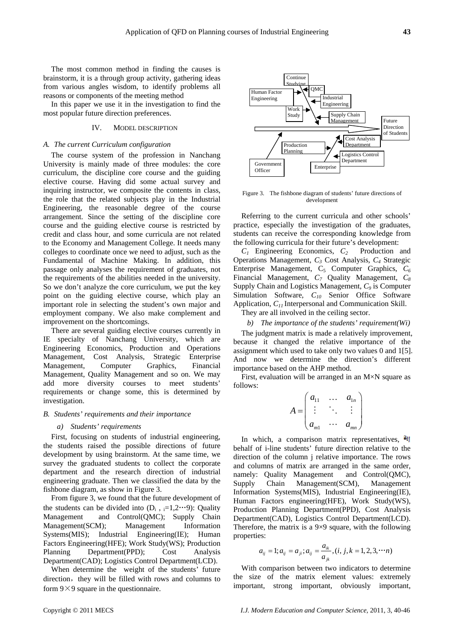The most common method in finding the causes is brainstorm, it is a through group activity, gathering ideas from various angles wisdom, to identify problems all reasons or components of the meeting method

In this paper we use it in the investigation to find the most popular future direction preferences.

# IV. MODEL DESCRIPTION

#### *A. The current Curriculum configuration*

The course system of the profession in Nanchang University is mainly made of three modules: the core curriculum, the discipline core course and the guiding elective course. Having did some actual survey and inquiring instructor, we composite the contents in class, the role that the related subjects play in the Industrial Engineering, the reasonable degree of the course arrangement. Since the setting of the discipline core course and the guiding elective course is restricted by credit and class hour, and some curricula are not related to the Economy and Management College. It needs many colleges to coordinate once we need to adjust, such as the Fundamental of Machine Making. In addition, this passage only analyses the requirement of graduates, not the requirements of the abilities needed in the university. So we don't analyze the core curriculum, we put the key point on the guiding elective course, which play an important role in selecting the student's own major and employment company. We also make complement and improvement on the shortcomings.

There are several guiding elective courses currently in IE specialty of Nanchang University, which are Engineering Economics, Production and Operations Management, Cost Analysis, Strategic Enterprise Management, Computer Graphics, Financial Management, Quality Management and so on. We may add more diversity courses to meet students' requirements or change some, this is determined by investigation.

#### *B. Students' requirements and their importance*

#### *a) Students' requirements*

First, focusing on students of industrial engineering, the students raised the possible directions of future development by using brainstorm. At the same time, we survey the graduated students to collect the corporate department and the research direction of industrial engineering graduate. Then we classified the data by the fishbone diagram, as show in Figure 3.

From figure 3, we found that the future development of the students can be divided into  $(D_i, i=1,2\cdots 9)$ : Quality Management and Control(QMC); Supply Chain Management(SCM); Management Information Systems(MIS); Industrial Engineering(IE); Human Factors Engineering(HFE); Work Study(WS); Production Planning Department(PPD); Cost Analysis Department(CAD); Logistics Control Department(LCD).

When determine the weight of the students' future direction, they will be filled with rows and columns to form  $9 \times 9$  square in the questionnaire.



Figure 3. The fishbone diagram of students' future directions of development

Referring to the current curricula and other schools' practice, especially the investigation of the graduates, students can receive the corresponding knowledge from the following curricula for their future's development:

*C1* Engineering Economics, *C2* Production and Operations Management, *C3* Cost Analysis, *C4* Strategic Enterprise Management, C<sub>5</sub> Computer Graphics, C<sub>6</sub> Financial Management, *C7* Quality Management, *C8* Supply Chain and Logistics Management, *C9* is Computer Simulation Software,  $C_{10}$  Senior Office Software Application, *C11* Interpersonal and Communication Skill.

They are all involved in the ceiling sector.

*b) The importance of the students' requirement(Wi)* 

The judgment matrix is made a relatively improvement, because it changed the relative importance of the assignment which used to take only two values 0 and 1[5]. And now we determine the direction's different importance based on the AHP method.

First, evaluation will be arranged in an M×N square as follows:

$$
A = \begin{pmatrix} a_{11} & \cdots & a_{1n} \\ \vdots & \ddots & \vdots \\ a_{m1} & \cdots & a_{mn} \end{pmatrix}
$$

In which, a comparison matrix representatives,  $a_{ij}$ behalf of i-line students' future direction relative to the direction of the column j relative importance. The rows and columns of matrix are arranged in the same order, namely: Quality Management and Control(QMC), Supply Chain Management(SCM), Management Information Systems(MIS), Industrial Engineering(IE), Human Factors engineering(HFE), Work Study(WS), Production Planning Department(PPD), Cost Analysis Department(CAD), Logistics Control Department(LCD). Therefore, the matrix is a  $9\times9$  square, with the following properties:

$$
a_{ij} = 1; a_{ij} = a_{ji}; a_{ij} = \frac{a_{ik}}{a_{jk}}, (i, j, k = 1, 2, 3, \cdots n)
$$

With comparison between two indicators to determine the size of the matrix element values: extremely important, strong important, obviously important,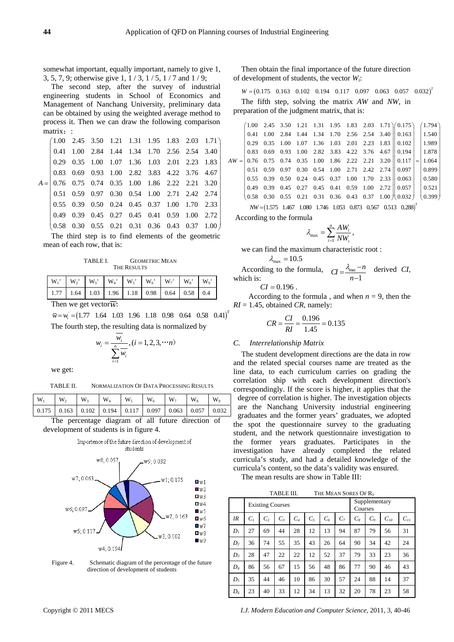somewhat important, equally important, namely to give 1, 3, 5, 7, 9; otherwise give 1, 1 / 3, 1 / 5, 1 / 7 and 1 / 9;

The second step, after the survey of industrial engineering students in School of Economics and Management of Nanchang University, preliminary data can be obtained by using the weighted average method to process it. Then we can draw the following comparison matrix ··

|             |  |  | $(1.00 \t2.45 \t3.50 \t1.21 \t1.31 \t1.95 \t1.83 \t2.03 \t1.71)$                                 |  |  |
|-------------|--|--|--------------------------------------------------------------------------------------------------|--|--|
|             |  |  | 0.41 1.00 2.84 1.44 1.34 1.70 2.56 2.54 3.40                                                     |  |  |
|             |  |  | 0.29 0.35 1.00 1.07 1.36 1.03 2.01 2.23 1.83                                                     |  |  |
|             |  |  | $0.83\quad 0.69\quad 0.93\quad 1.00\quad 2.82\quad 3.83\quad 4.22\quad 3.76\quad 4.67$           |  |  |
|             |  |  | $A = \begin{bmatrix} 0.76 & 0.75 & 0.74 & 0.35 & 1.00 & 1.86 & 2.22 & 2.21 & 3.20 \end{bmatrix}$ |  |  |
|             |  |  | 0.51 0.59 0.97 0.30 0.54 1.00 2.71 2.42 2.74                                                     |  |  |
|             |  |  | $0.55$ $0.39$ $0.50$ $0.24$ $0.45$ $0.37$ $1.00$ $1.70$ $2.33$                                   |  |  |
|             |  |  | $0.49 \quad 0.39 \quad 0.45 \quad 0.27 \quad 0.45 \quad 0.41 \quad 0.59 \quad 1.00 \quad 2.72$   |  |  |
| $0.58$ 0.30 |  |  | $0.55$ 0.21 0.31 0.36 0.43 0.37 1.00                                                             |  |  |

The third step is to find elements of the geometric mean of each row, that is:

TABLE I. GEOMETRIC MEAN THE RESULTS

| $\begin{array}{ c c c c c c c c c c c } \hline 1.77 & 1.64 & 1.03 & 1.96 & 1.18 & 0.98 & 0.64 & 0.58 & 0.4 \ \hline \end{array}$ |  |  |  |  |
|----------------------------------------------------------------------------------------------------------------------------------|--|--|--|--|

Then we get vector $\overline{w}$ :

 $\overline{w} = w_i = (1.77 \quad 1.64 \quad 1.03 \quad 1.96 \quad 1.18 \quad 0.98 \quad 0.64 \quad 0.58 \quad 0.41)^T$ The fourth step, the resulting data is normalized by

$$
w_i = \frac{w_i}{\sum_{i=1}^{n} w_i}, (i = 1, 2, 3, \cdots n)
$$

we get:

| TABLE II. | NORMALIZATION OF DATA PROCESSING RESULTS |
|-----------|------------------------------------------|
|-----------|------------------------------------------|

| $W_1$ |  |  |  |                                                                         |  |
|-------|--|--|--|-------------------------------------------------------------------------|--|
|       |  |  |  | $0.175$   0.163   0.102   0.194   0.117   0.097   0.063   0.057   0.032 |  |
| $-$   |  |  |  |                                                                         |  |

The percentage diagram of all future direction of development of students is in figure 4.



Figure 4. Schematic diagram of the percentage of the future direction of development of students

Then obtain the final importance of the future direction of development of students, the vector *Wi*:

The fifth step, solving the matrix *AW* and *NW*, in preparation of the judgment matrix, that is:  $W = (0.175 \quad 0.163 \quad 0.102 \quad 0.194 \quad 0.117 \quad 0.097 \quad 0.063 \quad 0.057 \quad 0.032)^T$ 

|      |  |  |  |  | $(1.00 \t2.45 \t3.50 \t1.21 \t1.31 \t1.95 \t1.83 \t2.03 \t1.71)(0.175)$ $(1.794)$                      |                 |
|------|--|--|--|--|--------------------------------------------------------------------------------------------------------|-----------------|
|      |  |  |  |  | 0.41 1.00 2.84 1.44 1.34 1.70 2.56 2.54 3.40 $\parallel$ 0.163   1.540                                 |                 |
|      |  |  |  |  | $0.29$ $0.35$ $1.00$ $1.07$ $1.36$ $1.03$ $2.01$ $2.23$ $1.83$ $0.102$   $1.989$                       |                 |
|      |  |  |  |  | $0.83$ $0.69$ $0.93$ $1.00$ $2.82$ $3.83$ $4.22$ $3.76$ $4.67$ $0.194$ $1.878$                         |                 |
|      |  |  |  |  | $AW =   0.76 \t0.75 \t0.74 \t0.35 \t1.00 \t1.86 \t2.22 \t2.21 \t3.20    0.117    =   1.064$            |                 |
|      |  |  |  |  | $0.51$ $0.59$ $0.97$ $0.30$ $0.54$ $1.00$ $2.71$ $2.42$ $2.74$ $\parallel$ $0.097$ $\parallel$         | $ 0.899\rangle$ |
|      |  |  |  |  | $0.55$ $0.39$ $0.50$ $0.24$ $0.45$ $0.37$ $1.00$ $1.70$ $2.33 \parallel 0.063 \parallel 0.580$         |                 |
|      |  |  |  |  | $0.49$ $0.39$ $0.45$ $0.27$ $0.45$ $0.41$ $0.59$ $1.00$ $2.72$ $\parallel$ $0.057$ $\parallel$ $0.521$ |                 |
| 0.58 |  |  |  |  | $0.30 \quad 0.55 \quad 0.21 \quad 0.31 \quad 0.36 \quad 0.43 \quad 0.37 \quad 1.00 \mid 0.032 \mid$    | (0.399)         |
|      |  |  |  |  |                                                                                                        |                 |

 $NW = (1.575 \quad 1.467 \quad 1.080 \quad 1.746 \quad 1.053 \quad 0.873 \quad 0.567 \quad 0.513 \quad 0.288)^T$ According to the formula

$$
\lambda_{\max} = \sum_{i=1}^n \frac{A W_i}{N W_i},
$$

we can find the maximum characteristic root :

$$
\lambda_{\max} = 10.5
$$

According to the formula,  $\sigma = \frac{\lambda_{\text{max}} - n}{n}$  derived *CI*, which is:  $CI = \frac{\lambda_{\text{max}} - n}{n - 1}$ 

 $CI = 0.196$ .

According to the formula, and when  $n = 9$ , then the  $RI = 1.45$ , obtained *CR*, namely:

$$
CR = \frac{CI}{RI} = \frac{0.196}{1.45} = 0.135
$$

# *C. Interrelationship Matrix*

The student development directions are the data in row and the related special courses name are treated as the line data, to each curriculum carries on grading the correlation ship with each development direction's correspondingly. If the score is higher, it applies that the degree of correlation is higher. The investigation objects are the Nanchang University industrial engineering graduates and the former years' graduates, we adopted the spot the questionnaire survey to the graduating student, and the network questionnaire investigation to the former years graduates. Participates in the investigation have already completed the related curricula's study, and had a detailed knowledge of the curricula's content, so the data's validity was ensured.

The mean results are show in Table III:

TABLE III. THE MEAN SORES OF R.

|                |                |                | <b>Existing Courses</b> |       |       | Supplementary<br>Courses |       |       |                |          |          |
|----------------|----------------|----------------|-------------------------|-------|-------|--------------------------|-------|-------|----------------|----------|----------|
| IR             | C <sub>1</sub> | C <sub>2</sub> | $C_3$                   | $C_4$ | $C_5$ | $C_6$                    | $C_7$ | $C_8$ | C <sub>9</sub> | $C_{10}$ | $C_{II}$ |
| $D_I$          | 27             | 69             | 44                      | 28    | 12    | 13                       | 94    | 87    | 79             | 56       | 31       |
| D <sub>2</sub> | 36             | 74             | 55                      | 35    | 43    | 26                       | 64    | 90    | 34             | 42       | 24       |
| $D_3$          | 28             | 47             | 22                      | 22    | 12    | 52                       | 37    | 79    | 33             | 23       | 36       |
| $D_4$          | 86             | 56             | 67                      | 15    | 56    | 48                       | 86    | 77    | 90             | 46       | 43       |
| $D_5$          | 35             | 44             | 46                      | 10    | 86    | 30                       | 57    | 24    | 88             | 14       | 37       |
| $D_6$          | 23             | 40             | 33                      | 12    | 34    | 13                       | 32    | 20    | 78             | 23       | 58       |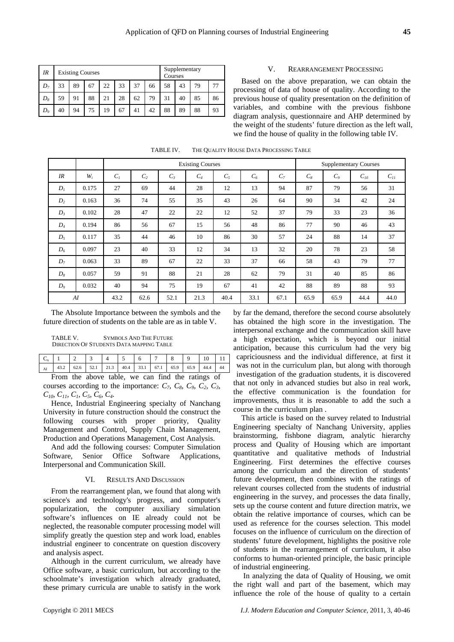| IR             |    | <b>Existing Courses</b> |    | Supplementary<br>Courses |    |    |    |    |    |    |    |
|----------------|----|-------------------------|----|--------------------------|----|----|----|----|----|----|----|
| D <sub>7</sub> | 33 | 89                      | 67 | 22                       | 33 | 58 | 43 | 79 |    |    |    |
| $D_8$          | 59 | 91                      | 88 | 21                       | 28 | 62 | 79 | 31 | 40 | 85 | 86 |
| $D_9$          | 40 | 94                      | 75 | 19                       | 67 | 41 | 42 | 88 | 89 | 88 | 93 |

#### V. REARRANGEMENT PROCESSING

Based on the above preparation, we can obtain the processing of data of house of quality. According to the previous house of quality presentation on the definition of variables, and combine with the previous fishbone diagram analysis, questionnaire and AHP determined by the weight of the students' future direction as the left wall, we find the house of quality in the following table IV.

|             |                                                    |                |                |       | <b>Existing Courses</b> |       |       |                |       |                | <b>Supplementary Courses</b> |          |
|-------------|----------------------------------------------------|----------------|----------------|-------|-------------------------|-------|-------|----------------|-------|----------------|------------------------------|----------|
| IR          | $W_i$                                              | C <sub>1</sub> | C <sub>2</sub> | $C_3$ | $C_4$                   | $C_5$ | $C_6$ | C <sub>7</sub> | $C_8$ | C <sub>o</sub> | $C_{10}$                     | $C_{II}$ |
| $D_l$       | 0.175                                              | 27             | 69             | 44    | 28                      | 12    | 13    | 94             | 87    | 79             | 56                           | 31       |
| $D_2$       | 0.163                                              | 36             | 74             | 55    | 35                      | 43    | 26    | 64             | 90    | 34             | 42                           | 24       |
| $D_3$       | 0.102                                              | 28             | 47             | 22    | 22                      | 12    | 52    | 37             | 79    | 33             | 23                           | 36       |
| $D_4$       | 0.194                                              | 86             | 56             | 67    | 15                      | 56    | 48    | 86             | 77    | 90             | 46                           | 43       |
| $D_5$       | 0.117                                              | 35             | 44             | 46    | 10                      | 86    | 30    | 57             | 24    | 88             | 14                           | 37       |
| $D_6$       | 0.097                                              | 23             | 40             | 33    | 12                      | 34    | 13    | 32             | 20    | 78             | 23                           | 58       |
| $D_7$       | 0.063                                              | 33             | 89             | 67    | 22                      | 33    | 37    | 66             | 58    | 43             | 79                           | 77       |
| $D_8$       | 0.057                                              | 59             | 91             | 88    | 21                      | 28    | 62    | 79             | 31    | 40             | 85                           | 86       |
| $D_{\rm o}$ | 0.032                                              | 40             | 94             | 75    | 19                      | 67    | 41    | 42             | 88    | 89             | 88                           | 93       |
|             | 43.2<br>33.1<br>AI<br>62.6<br>52.1<br>21.3<br>40.4 |                | 67.1           | 65.9  | 65.9                    | 44.4  | 44.0  |                |       |                |                              |          |

TABLE IV. THE QUALITY HOUSE DATA PROCESSING TABLE

The Absolute Importance between the symbols and the future direction of students on the table are as in table V.

TABLE V. SYMBOLS AND THE FUTURE DIRECTION OF STUDENTS DATA MAPPING TABLE

|    | $C_x$ 1                                           |  |  |  |  |  |  |  |  |  |  |  |  |
|----|---------------------------------------------------|--|--|--|--|--|--|--|--|--|--|--|--|
| AI |                                                   |  |  |  |  |  |  |  |  |  |  |  |  |
|    | Eggan the chose toble we can find the vertiple of |  |  |  |  |  |  |  |  |  |  |  |  |

From the above table, we can find the ratings of courses according to the importance:  $C_7$ ,  $C_8$ ,  $C_9$ ,  $C_2$ ,  $C_3$ , *C10, C11, C1, C5, C6, C4.*

Hence, Industrial Engineering specialty of Nanchang University in future construction should the construct the following courses with proper priority, Quality Management and Control, Supply Chain Management, Production and Operations Management, Cost Analysis.

And add the following courses: Computer Simulation Software, Senior Office Software Applications, Interpersonal and Communication Skill.

#### VI. RESULTS AND DISCUSSION

From the rearrangement plan, we found that along with science's and technology's progress, and computer's popularization, the computer auxiliary simulation software's influences on IE already could not be neglected, the reasonable computer processing model will simplify greatly the question step and work load, enables industrial engineer to concentrate on question discovery and analysis aspect.

Although in the current curriculum, we already have Office software, a basic curriculum, but according to the schoolmate's investigation which already graduated, these primary curricula are unable to satisfy in the work

by far the demand, therefore the second course absolutely has obtained the high score in the investigation. The interpersonal exchange and the communication skill have a high expectation, which is beyond our initial anticipation, because this curriculum had the very big capriciousness and the individual difference, at first it was not in the curriculum plan, but along with thorough investigation of the graduation students, it is discovered that not only in advanced studies but also in real work, the effective communication is the foundation for improvements, thus it is reasonable to add the such a course in the curriculum plan .

This article is based on the survey related to Industrial Engineering specialty of Nanchang University, applies brainstorming, fishbone diagram, analytic hierarchy process and Quality of Housing which are important quantitative and qualitative methods of Industrial Engineering. First determines the effective courses among the curriculum and the direction of students' future development, then combines with the ratings of relevant courses collected from the students of industrial engineering in the survey, and processes the data finally, sets up the course content and future direction matrix, we obtain the relative importance of courses, which can be used as reference for the courses selection. This model focuses on the influence of curriculum on the direction of students' future development, highlights the positive role of students in the rearrangement of curriculum, it also conforms to human-oriented principle, the basic principle of industrial engineering.

 In analyzing the data of Quality of Housing, we omit the right wall and part of the basement, which may influence the role of the house of quality to a certain